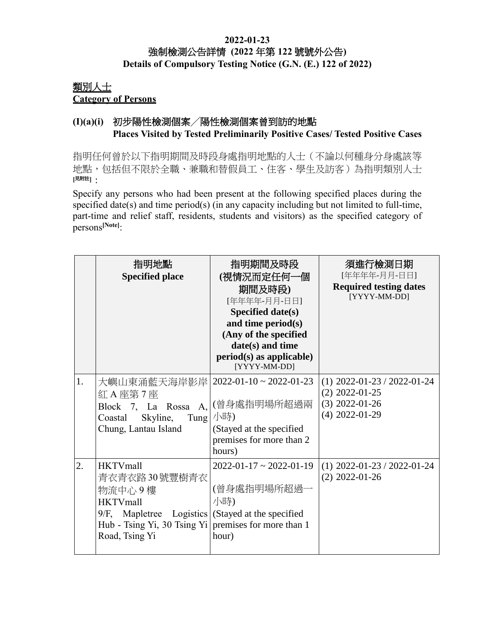#### **2022-01-23** 強制檢測公告詳情 **(2022** 年第 **122** 號號外公告**) Details of Compulsory Testing Notice (G.N. (E.) 122 of 2022)**

## 類別人士 **Category of Persons**

### **(I)(a)(i)** 初步陽性檢測個案╱陽性檢測個案曾到訪的地點 **Places Visited by Tested Preliminarily Positive Cases/ Tested Positive Cases**

指明任何曾於以下指明期間及時段身處指明地點的人士(不論以何種身分身處該等 地點,包括但不限於全職、兼職和替假員工、住客、學生及訪客)為指明類別人士 **[**見附註**]**:

Specify any persons who had been present at the following specified places during the specified date(s) and time period(s) (in any capacity including but not limited to full-time, part-time and relief staff, residents, students and visitors) as the specified category of persons**[Note]**:

|    | 指明地點<br><b>Specified place</b>                                                                                                                                                              | 指明期間及時段<br>(視情況而定任何一個<br>期間及時段)<br>[年年年年-月月-日日]<br>Specified date(s)<br>and time period(s)<br>(Any of the specified<br>date(s) and time<br>period(s) as applicable)<br>[YYYY-MM-DD] | 須進行檢測日期<br>[年年年年-月月-日日]<br><b>Required testing dates</b><br>[YYYY-MM-DD]                  |
|----|---------------------------------------------------------------------------------------------------------------------------------------------------------------------------------------------|-------------------------------------------------------------------------------------------------------------------------------------------------------------------------------------|-------------------------------------------------------------------------------------------|
| 1. | 大嶼山東涌藍天海岸影岸   2022-01-10~2022-01-23<br>紅 A 座第 7 座<br>Block 7, La Rossa A,<br>Skyline,<br>Tung<br>Coastal<br>Chung, Lantau Island                                                            | (曾身處指明場所超過兩<br>小時)<br>(Stayed at the specified<br>premises for more than 2<br>hours)                                                                                                | $(1)$ 2022-01-23 / 2022-01-24<br>$(2)$ 2022-01-25<br>$(3)$ 2022-01-26<br>$(4)$ 2022-01-29 |
| 2. | <b>HKTVmall</b><br>青衣青衣路30號豐樹青衣<br>物流中心9樓<br><b>HKTVmall</b><br>9/F, Mapletree Logistics (Stayed at the specified<br>Hub - Tsing Yi, 30 Tsing Yi premises for more than 1<br>Road, Tsing Yi | $2022 - 01 - 17 \approx 2022 - 01 - 19$<br>(曾身處指明場所超過-<br>小時)<br>hour)                                                                                                              | $(1)$ 2022-01-23 / 2022-01-24<br>$(2)$ 2022-01-26                                         |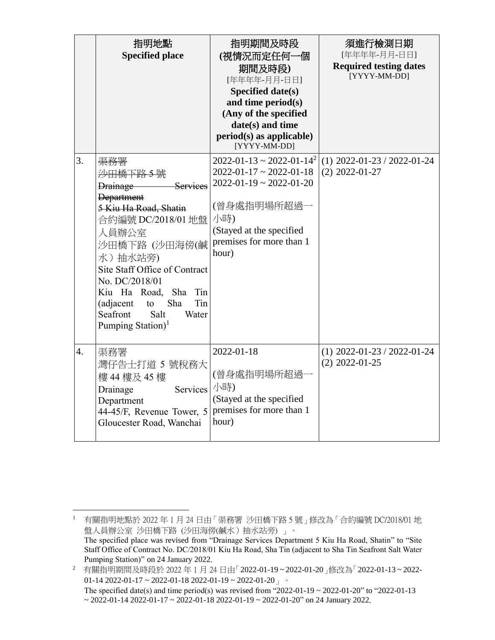|    | 指明地點<br><b>Specified place</b>                                                                                                                                                                                                                                                                                                                      | 指明期間及時段<br>(視情況而定任何一個<br>期間及時段)<br>[年年年年-月月-日日]<br><b>Specified date(s)</b><br>and time period(s)<br>(Any of the specified<br>date(s) and time<br>$period(s)$ as applicable)<br>[YYYY-MM-DD]                           | 須進行檢測日期<br>[年年年年-月月-日日]<br><b>Required testing dates</b><br>[YYYY-MM-DD] |
|----|-----------------------------------------------------------------------------------------------------------------------------------------------------------------------------------------------------------------------------------------------------------------------------------------------------------------------------------------------------|------------------------------------------------------------------------------------------------------------------------------------------------------------------------------------------------------------------------|--------------------------------------------------------------------------|
| 3. | 渠務署<br><del>沙田橋下路 5 號</del><br>Drainage<br><b>Services</b><br><b>Department</b><br>5 Kiu Ha Road, Shatin<br>合約編號 DC/2018/01 地盤<br>人員辦公室<br>沙田橋下路 (沙田海傍(鹹<br>水)抽水站旁)<br>Site Staff Office of Contract<br>No. DC/2018/01<br>Sha<br>Kiu Ha Road,<br>Tin<br>Tin<br>Sha<br>(adjacent<br>to<br>Seafront<br>Water<br>Salt<br>Pumping Station) <sup>1</sup> | $2022 - 01 - 13 \approx 2022 - 01 - 14^2$<br>$2022 - 01 - 17 \approx 2022 - 01 - 18$<br>$2022 - 01 - 19 \approx 2022 - 01 - 20$<br>(曾身處指明場所超過一<br>小時)<br>(Stayed at the specified<br>premises for more than 1<br>hour) | $(1)$ 2022-01-23 / 2022-01-24<br>$(2)$ 2022-01-27                        |
| 4. | 渠務署<br>灣仔告士打道 5 號稅務大<br>樓 44 樓及 45 樓<br>Services<br>Drainage<br>Department<br>44-45/F, Revenue Tower, 5<br>Gloucester Road, Wanchai                                                                                                                                                                                                                 | 2022-01-18<br>(曾身處指明場所超過-<br>小時)<br>(Stayed at the specified<br>premises for more than 1<br>hour)                                                                                                                      | $(1)$ 2022-01-23 / 2022-01-24<br>$(2)$ 2022-01-25                        |

 $\overline{a}$ 

<sup>1</sup> 有關指明地點於 2022 年 1 月 24 日由「渠務署 沙田橋下路 5 號」修改為「合約編號 DC/2018/01 地 盤人員辦公室 沙田橋下路 (沙田海傍(鹹水) 抽水站旁) 」。 The specified place was revised from "Drainage Services Department 5 Kiu Ha Road, Shatin" to "Site Staff Office of Contract No. DC/2018/01 Kiu Ha Road, Sha Tin (adjacent to Sha Tin Seafront Salt Water Pumping Station)" on 24 January 2022.

<sup>2</sup> 有關指明期間及時段於 2022 年 1 月 24 日由「2022-01-19 ~ 2022-01-20」修改為「2022-01-13 ~ 2022- 01-14 2022-01-17 ~ 2022-01-18 2022-01-19 ~ 2022-01-20  $\frac{1}{3}$ The specified date(s) and time period(s) was revised from "2022-01-19 ~ 2022-01-20" to "2022-01-13"

 $\sim$  2022-01-14 2022-01-17  $\sim$  2022-01-18 2022-01-19  $\sim$  2022-01-20" on 24 January 2022.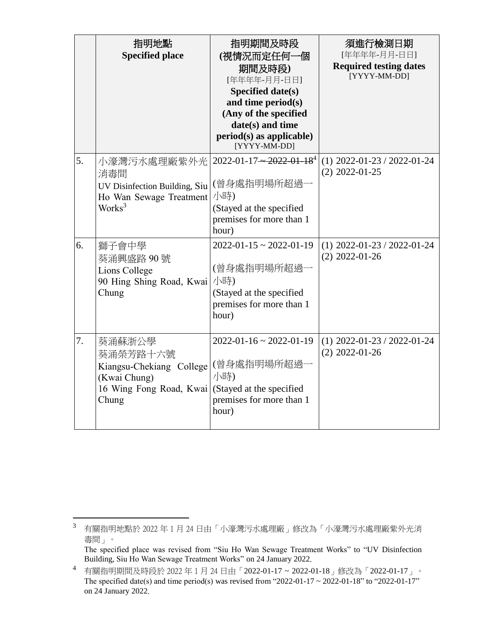|    | 指明地點<br><b>Specified place</b>                                                                       | 指明期間及時段<br>(視情況而定任何一個<br>期間及時段)<br>[年年年年-月月-日日]<br><b>Specified date(s)</b><br>and time period(s)<br>(Any of the specified<br>date(s) and time<br>$period(s)$ as applicable)<br>[YYYY-MM-DD] | 須進行檢測日期<br>[年年年年-月月-日日]<br><b>Required testing dates</b><br>[YYYY-MM-DD] |
|----|------------------------------------------------------------------------------------------------------|----------------------------------------------------------------------------------------------------------------------------------------------------------------------------------------------|--------------------------------------------------------------------------|
| 5. | 小濠灣污水處理廠紫外光<br>消毒間<br>UV Disinfection Building, Siu<br>Ho Wan Sewage Treatment<br>Works <sup>3</sup> | $2022 - 01 - 17 - 2022 - 01 - 184$<br>(曾身處指明場所超過一<br>小時)<br>(Stayed at the specified<br>premises for more than 1<br>hour)                                                                    | $(1)$ 2022-01-23 / 2022-01-24<br>$(2)$ 2022-01-25                        |
| 6. | 獅子會中學<br>葵涌興盛路90號<br>Lions College<br>90 Hing Shing Road, Kwai<br>Chung                              | $2022 - 01 - 15 \approx 2022 - 01 - 19$<br>(曾身處指明場所超過一<br>小時)<br>(Stayed at the specified<br>premises for more than 1<br>hour)                                                               | $(1)$ 2022-01-23 / 2022-01-24<br>$(2)$ 2022-01-26                        |
| 7. | 葵涌蘇浙公學<br>葵涌榮芳路十六號<br>Kiangsu-Chekiang College<br>(Kwai Chung)<br>16 Wing Fong Road, Kwai<br>Chung   | $2022 - 01 - 16 \approx 2022 - 01 - 19$<br>(曾身處指明場所超過-<br>小時)<br>(Stayed at the specified<br>premises for more than 1<br>hour)                                                               | $(1)$ 2022-01-23 / 2022-01-24<br>$(2)$ 2022-01-26                        |

 $\overline{a}$ 

<sup>3</sup> 有關指明地點於 2022 年 1 月 24 日由「小濠灣污水處理廠」修改為「小濠灣污水處理廠紫外光消 毒間」。

The specified place was revised from "Siu Ho Wan Sewage Treatment Works" to "UV Disinfection Building, Siu Ho Wan Sewage Treatment Works" on 24 January 2022.

<sup>4</sup> 有關指明期間及時段於 2022 年 1 月 24 日由「2022-01-17 ~ 2022-01-18」修改為「2022-01-17」。 The specified date(s) and time period(s) was revised from "2022-01-17  $\sim$  2022-01-18" to "2022-01-17" on 24 January 2022.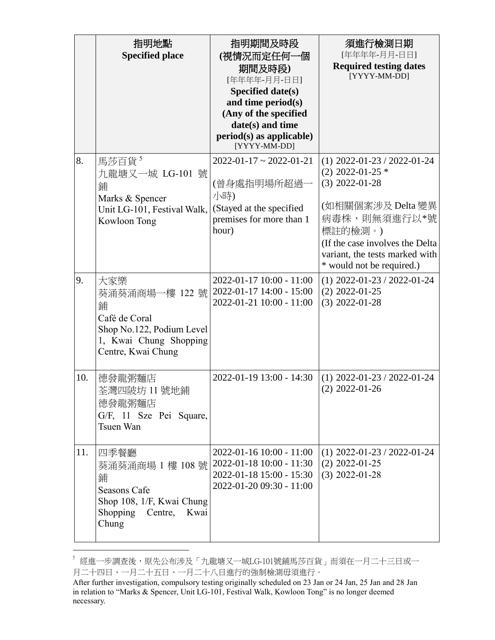|     | 指明地點<br><b>Specified place</b>                                                                                                                  | 指明期間及時段<br>(視情況而定任何一個<br>期間及時段)                                                                                                                  | 須進行檢測日期<br>[年年年年-月月-日日]<br><b>Required testing dates</b><br>[YYYY-MM-DD]                                                                                                                                                    |
|-----|-------------------------------------------------------------------------------------------------------------------------------------------------|--------------------------------------------------------------------------------------------------------------------------------------------------|-----------------------------------------------------------------------------------------------------------------------------------------------------------------------------------------------------------------------------|
|     |                                                                                                                                                 | [年年年年-月月-日日]<br>Specified date(s)<br>and time period(s)<br>(Any of the specified<br>date(s) and time<br>period(s) as applicable)<br>[YYYY-MM-DD] |                                                                                                                                                                                                                             |
| 8.  | 馬莎百貨 <sup>5</sup><br>九龍塘又一城 LG-101 號<br>鋪<br>Marks & Spencer<br>Unit LG-101, Festival Walk,<br>Kowloon Tong                                     | $2022 - 01 - 17 \approx 2022 - 01 - 21$<br>(曾身處指明場所超過一<br>小時)<br>(Stayed at the specified<br>premises for more than 1<br>hour)                   | $(1)$ 2022-01-23 / 2022-01-24<br>$(2)$ 2022-01-25 $*$<br>$(3)$ 2022-01-28<br>(如相關個案涉及 Delta 變異<br>病毒株,則無須進行以*號<br>標註的檢測。)<br>(If the case involves the Delta<br>variant, the tests marked with<br>* would not be required.) |
| 9.  | 大家樂<br>葵涌葵涌商場一樓 122 號 <br>鋪<br>Café de Coral<br>Shop No.122, Podium Level<br>1, Kwai Chung Shopping<br>Centre, Kwai Chung                       | 2022-01-17 10:00 - 11:00<br>2022-01-17 14:00 - 15:00<br>2022-01-21 10:00 - 11:00                                                                 | $(1)$ 2022-01-23 / 2022-01-24<br>$(2)$ 2022-01-25<br>$(3)$ 2022-01-28                                                                                                                                                       |
| 10. | 德發龍粥麵店<br>荃灣四陂坊 11 號地鋪<br>德發龍粥麵店<br>G/F, 11 Sze Pei Square,<br>Tsuen Wan                                                                        | 2022-01-19 13:00 - 14:30                                                                                                                         | $(1)$ 2022-01-23 / 2022-01-24<br>$(2)$ 2022-01-26                                                                                                                                                                           |
| 11. | 四季餐廳<br>葵涌葵涌商場 1 樓 108 號 2022-01-18 10:00 - 11:30<br>鋪<br><b>Seasons Cafe</b><br>Shop 108, 1/F, Kwai Chung<br>Shopping Centre,<br>Kwai<br>Chung | 2022-01-16 10:00 - 11:00<br>2022-01-18 15:00 - 15:30<br>2022-01-20 09:30 - 11:00                                                                 | $(1)$ 2022-01-23 / 2022-01-24<br>$(2)$ 2022-01-25<br>$(3)$ 2022-01-28                                                                                                                                                       |

 $^{\mathrm{5}}$  經進一步調查後,原先公布涉及「九龍塘又一城LG-101號鋪馬莎百貨」而須在一月二十三日或一 月二十四日、一月二十五日、一月二十八日進行的強制檢測毋須進行。

 $\overline{a}$ 

After further investigation, compulsory testing originally scheduled on 23 Jan or 24 Jan, 25 Jan and 28 Jan in relation to "Marks & Spencer, Unit LG-101, Festival Walk, Kowloon Tong" is no longer deemed necessary.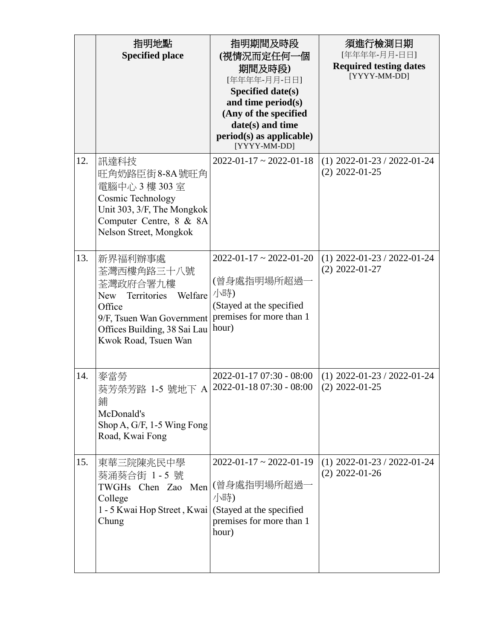|     | 指明地點<br><b>Specified place</b>                                                                                                                                         | 指明期間及時段<br>(視情況而定任何一個<br>期間及時段)<br>[年年年年-月月-日日]<br>Specified date(s)<br>and time period(s)<br>(Any of the specified<br>date(s) and time<br>$period(s)$ as applicable)<br>[YYYY-MM-DD] | 須進行檢測日期<br>[年年年年-月月-日日]<br><b>Required testing dates</b><br>[YYYY-MM-DD] |
|-----|------------------------------------------------------------------------------------------------------------------------------------------------------------------------|---------------------------------------------------------------------------------------------------------------------------------------------------------------------------------------|--------------------------------------------------------------------------|
| 12. | 訊達科技<br>旺角奶路臣街8-8A號旺角<br>電腦中心 3樓 303室<br>Cosmic Technology<br>Unit 303, 3/F, The Mongkok<br>Computer Centre, 8 & 8A<br>Nelson Street, Mongkok                          | $2022 - 01 - 17 \approx 2022 - 01 - 18$                                                                                                                                               | $(1)$ 2022-01-23 / 2022-01-24<br>$(2)$ 2022-01-25                        |
| 13. | 新界福利辦事處<br>荃灣西樓角路三十八號<br>荃灣政府合署九樓<br>Territories Welfare<br>New<br>Office<br>9/F, Tsuen Wan Government<br>Offices Building, 38 Sai Lau   hour)<br>Kwok Road, Tsuen Wan | $2022 - 01 - 17 \approx 2022 - 01 - 20$<br>(曾身處指明場所超過<br>小時)<br>(Stayed at the specified<br>premises for more than 1                                                                  | $(1)$ 2022-01-23 / 2022-01-24<br>$(2)$ 2022-01-27                        |
| 14. | 麥當勞<br>葵芳榮芳路 1-5 號地下 A<br>鋪<br>McDonald's<br>Shop A, G/F, $1-5$ Wing Fong<br>Road, Kwai Fong                                                                           | 2022-01-17 07:30 - 08:00<br>2022-01-18 07:30 - 08:00                                                                                                                                  | $(1)$ 2022-01-23 / 2022-01-24<br>$(2)$ 2022-01-25                        |
| 15. | 東華三院陳兆民中學<br>葵涌葵合街 1-5號<br>TWGHs Chen Zao Men (曾身處指明場所超過一<br>College<br>1 - 5 Kwai Hop Street, Kwai (Stayed at the specified<br>Chung                                  | $2022 - 01 - 17 \approx 2022 - 01 - 19$<br>小時)<br>premises for more than 1<br>hour)                                                                                                   | $(1)$ 2022-01-23 / 2022-01-24<br>$(2)$ 2022-01-26                        |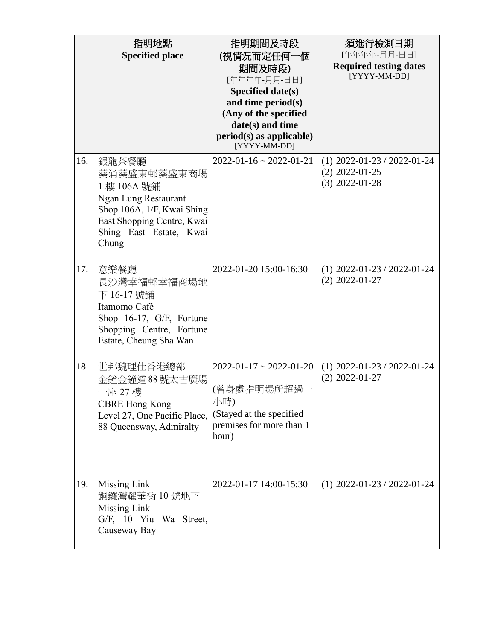|     | 指明地點<br><b>Specified place</b>                                                                                                                                     | 指明期間及時段<br>(視情況而定任何一個<br>期間及時段)<br>[年年年年-月月-日日]<br>Specified date(s)<br>and time period(s)<br>(Any of the specified<br>date(s) and time<br>$period(s)$ as applicable)<br>[YYYY-MM-DD] | 須進行檢測日期<br>[年年年年-月月-日日]<br><b>Required testing dates</b><br>[YYYY-MM-DD] |
|-----|--------------------------------------------------------------------------------------------------------------------------------------------------------------------|---------------------------------------------------------------------------------------------------------------------------------------------------------------------------------------|--------------------------------------------------------------------------|
| 16. | 銀龍茶餐廳<br>葵涌葵盛東邨葵盛東商場<br>1 樓 106A 號鋪<br><b>Ngan Lung Restaurant</b><br>Shop 106A, 1/F, Kwai Shing<br>East Shopping Centre, Kwai<br>Shing East Estate, Kwai<br>Chung | $2022 - 01 - 16 \approx 2022 - 01 - 21$                                                                                                                                               | $(1)$ 2022-01-23 / 2022-01-24<br>$(2)$ 2022-01-25<br>$(3)$ 2022-01-28    |
| 17. | 意樂餐廳<br>長沙灣幸福邨幸福商場地<br>下 16-17 號鋪<br>Itamomo Café<br>Shop 16-17, G/F, Fortune<br>Shopping Centre, Fortune<br>Estate, Cheung Sha Wan                                | 2022-01-20 15:00-16:30                                                                                                                                                                | $(1)$ 2022-01-23 / 2022-01-24<br>$(2)$ 2022-01-27                        |
| 18. | 世邦魏理仕香港總部<br>金鐘金鐘道88號太古廣場<br>-座 27 樓<br><b>CBRE Hong Kong</b><br>Level 27, One Pacific Place,<br>88 Queensway, Admiralty                                           | $2022 - 01 - 17 \approx 2022 - 01 - 20$<br>(曾身處指明場所超過·<br>小時)<br>(Stayed at the specified<br>premises for more than 1<br>hour)                                                        | $(1)$ 2022-01-23 / 2022-01-24<br>$(2)$ 2022-01-27                        |
| 19. | Missing Link<br>銅鑼灣耀華街 10號地下<br>Missing Link<br>G/F, 10 Yiu Wa Street,<br>Causeway Bay                                                                             | 2022-01-17 14:00-15:30                                                                                                                                                                | $(1)$ 2022-01-23 / 2022-01-24                                            |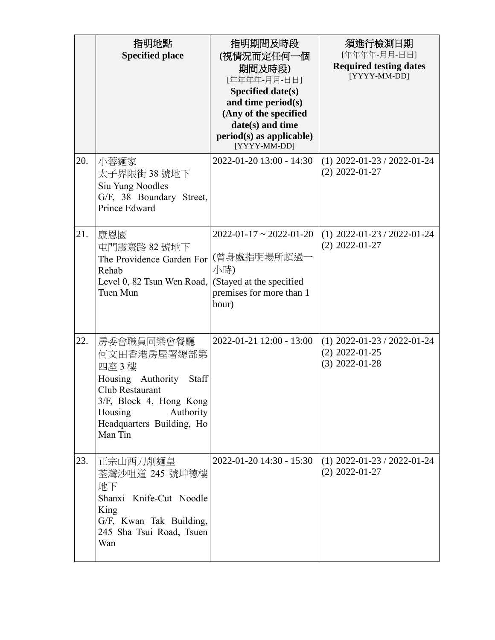|     | 指明地點<br><b>Specified place</b>                                                                                                                                                 | 指明期間及時段<br>(視情況而定任何一個<br>期間及時段)<br>[年年年年-月月-日日]<br>Specified date(s)<br>and time period(s)<br>(Any of the specified<br>date(s) and time<br>$period(s)$ as applicable)<br>[YYYY-MM-DD] | 須進行檢測日期<br>[年年年年-月月-日日]<br><b>Required testing dates</b><br>[YYYY-MM-DD] |
|-----|--------------------------------------------------------------------------------------------------------------------------------------------------------------------------------|---------------------------------------------------------------------------------------------------------------------------------------------------------------------------------------|--------------------------------------------------------------------------|
| 20. | 小蓉麵家<br>太子界限街 38 號地下<br>Siu Yung Noodles<br>G/F, 38 Boundary Street,<br>Prince Edward                                                                                          | 2022-01-20 13:00 - 14:30                                                                                                                                                              | $(1)$ 2022-01-23 / 2022-01-24<br>$(2)$ 2022-01-27                        |
| 21. | 康恩園<br>屯門震寰路 82號地下<br>The Providence Garden For<br>Rehab<br>Level 0, 82 Tsun Wen Road,<br>Tuen Mun                                                                             | $2022 - 01 - 17 \approx 2022 - 01 - 20$<br>(曾身處指明場所超過一<br>小時)<br>(Stayed at the specified<br>premises for more than 1<br>hour)                                                        | $(1)$ 2022-01-23 / 2022-01-24<br>$(2)$ 2022-01-27                        |
| 22. | 房委會職員同樂會餐廳<br>何文田香港房屋署總部第<br>四座 3樓<br>Housing Authority<br>Staff<br>Club Restaurant<br>3/F, Block 4, Hong Kong<br>Housing<br>Authority<br>Headquarters Building, Ho<br>Man Tin | 2022-01-21 12:00 - 13:00                                                                                                                                                              | $(1)$ 2022-01-23 / 2022-01-24<br>$(2)$ 2022-01-25<br>$(3)$ 2022-01-28    |
| 23. | 正宗山西刀削麵皇<br>荃灣沙咀道 245 號坤德樓<br>地下<br>Shanxi Knife-Cut Noodle<br>King<br>G/F, Kwan Tak Building,<br>245 Sha Tsui Road, Tsuen<br>Wan                                              | 2022-01-20 14:30 - 15:30                                                                                                                                                              | $(1)$ 2022-01-23 / 2022-01-24<br>$(2)$ 2022-01-27                        |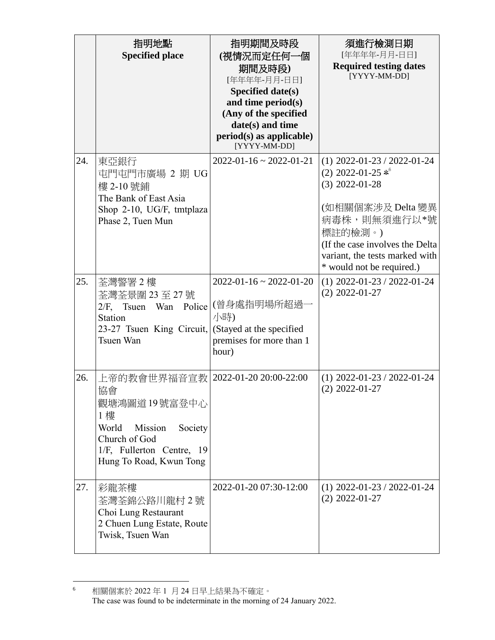|     | 指明地點<br><b>Specified place</b>                                                                                                                     | 指明期間及時段<br>(視情況而定任何一個<br>期間及時段)<br>[年年年年-月月-日日]<br>Specified date(s)<br>and time period(s)<br>(Any of the specified<br>date(s) and time<br>period(s) as applicable)<br>[YYYY-MM-DD] | 須進行檢測日期<br>[年年年年-月月-日日]<br><b>Required testing dates</b><br>[YYYY-MM-DD]                                                                                                                                                    |
|-----|----------------------------------------------------------------------------------------------------------------------------------------------------|-------------------------------------------------------------------------------------------------------------------------------------------------------------------------------------|-----------------------------------------------------------------------------------------------------------------------------------------------------------------------------------------------------------------------------|
| 24. | 東亞銀行<br>屯門屯門市廣場 2 期 UG<br>樓 2-10號鋪<br>The Bank of East Asia<br>Shop 2-10, UG/F, tmtplaza<br>Phase 2, Tuen Mun                                      | $2022 - 01 - 16 \approx 2022 - 01 - 21$                                                                                                                                             | $(1)$ 2022-01-23 / 2022-01-24<br>(2) 2022-01-25 $*^6$<br>$(3)$ 2022-01-28<br>(如相關個案涉及 Delta 變異<br>病毒株,則無須進行以*號<br>標註的檢測。)<br>(If the case involves the Delta<br>variant, the tests marked with<br>* would not be required.) |
| 25. | 荃灣警署2樓<br>荃灣荃景圍 23 至 27 號<br>Tsuen Wan Police<br>$2/F$ ,<br>Station<br>23-27 Tsuen King Circuit,<br>Tsuen Wan                                      | $2022 - 01 - 16 \approx 2022 - 01 - 20$<br>(曾身處指明場所超過<br>小時)<br>(Stayed at the specified<br>premises for more than 1<br>hour)                                                       | $(1)$ 2022-01-23 / 2022-01-24<br>$(2)$ 2022-01-27                                                                                                                                                                           |
| 26. | 上帝的教會世界福音宣教 <br>協會<br>觀塘鴻圖道 19 號富登中心<br>1樓<br>World<br>Mission<br>Society<br>Church of God<br>1/F, Fullerton Centre, 19<br>Hung To Road, Kwun Tong | 2022-01-20 20:00-22:00                                                                                                                                                              | $(1)$ 2022-01-23 / 2022-01-24<br>$(2)$ 2022-01-27                                                                                                                                                                           |
| 27. | 彩龍茶樓<br>荃灣荃錦公路川龍村2號<br>Choi Lung Restaurant<br>2 Chuen Lung Estate, Route<br>Twisk, Tsuen Wan                                                      | 2022-01-20 07:30-12:00                                                                                                                                                              | $(1)$ 2022-01-23 / 2022-01-24<br>$(2)$ 2022-01-27                                                                                                                                                                           |

 $\frac{1}{6}$  相關個案於 2022 年 1 月 24 日早上結果為不確定。 The case was found to be indeterminate in the morning of 24 January 2022.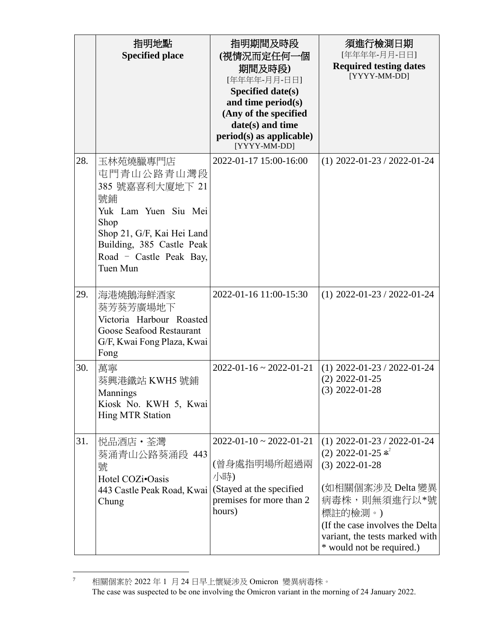|     | 指明地點<br><b>Specified place</b>                                                                                                                                                    | 指明期間及時段<br>(視情況而定任何一個<br>期間及時段)<br>[年年年年-月月-日日]<br>Specified date(s)<br>and time period(s)<br>(Any of the specified<br>date(s) and time<br>$period(s)$ as applicable)<br>[YYYY-MM-DD] | 須進行檢測日期<br>[年年年年-月月-日日]<br><b>Required testing dates</b><br>[YYYY-MM-DD]                                                                                                                                                      |
|-----|-----------------------------------------------------------------------------------------------------------------------------------------------------------------------------------|---------------------------------------------------------------------------------------------------------------------------------------------------------------------------------------|-------------------------------------------------------------------------------------------------------------------------------------------------------------------------------------------------------------------------------|
| 28. | 玉林苑燒臘專門店<br>屯門青山公路青山灣段<br>385 號嘉喜利大廈地下 21<br>號鋪<br>Yuk Lam Yuen Siu Mei<br>Shop<br>Shop 21, G/F, Kai Hei Land<br>Building, 385 Castle Peak<br>Road - Castle Peak Bay,<br>Tuen Mun | 2022-01-17 15:00-16:00                                                                                                                                                                | $(1)$ 2022-01-23 / 2022-01-24                                                                                                                                                                                                 |
| 29. | 海港燒鵝海鮮酒家<br>葵芳葵芳廣場地下<br>Victoria Harbour Roasted<br>Goose Seafood Restaurant<br>G/F, Kwai Fong Plaza, Kwai<br>Fong                                                                | 2022-01-16 11:00-15:30                                                                                                                                                                | $(1)$ 2022-01-23 / 2022-01-24                                                                                                                                                                                                 |
| 30. | 萬寧<br>葵興港鐵站 KWH5 號鋪<br>Mannings<br>Kiosk No. KWH 5, Kwai<br><b>Hing MTR Station</b>                                                                                               | $2022 - 01 - 16 \approx 2022 - 01 - 21$                                                                                                                                               | $(1)$ 2022-01-23 / 2022-01-24<br>$(2)$ 2022-01-25<br>$(3)$ 2022-01-28                                                                                                                                                         |
| 31. | 悦品酒店・荃灣<br>葵涌青山公路葵涌段 443<br>號<br>Hotel COZi•Oasis<br>443 Castle Peak Road, Kwai<br>Chung                                                                                          | $2022 - 01 - 10 \approx 2022 - 01 - 21$<br>(曾身處指明場所超過兩<br>小時)<br>(Stayed at the specified<br>premises for more than 2<br>hours)                                                       | $(1)$ 2022-01-23 / 2022-01-24<br>$(2)$ 2022-01-25 $*^7$<br>$(3)$ 2022-01-28<br>(如相關個案涉及 Delta 變異<br>病毒株,則無須進行以*號<br>標註的檢測。)<br>(If the case involves the Delta<br>variant, the tests marked with<br>* would not be required.) |

 $\overline{\tau}$ <sup>7</sup> 相關個案於 2022 年 1 月 24 日早上懷疑涉及 Omicron 變異病毒株。 The case was suspected to be one involving the Omicron variant in the morning of 24 January 2022.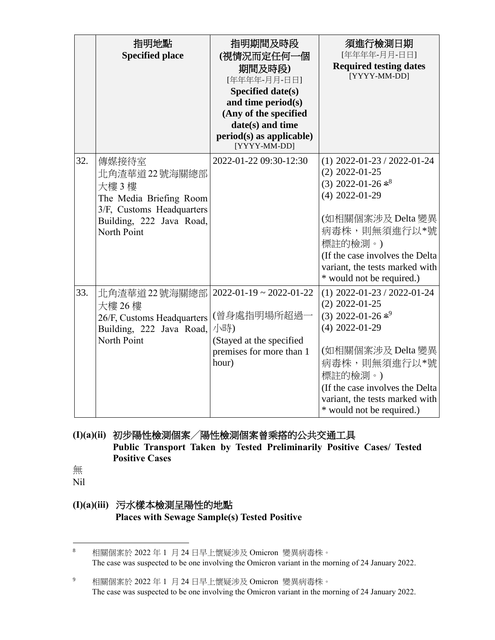|     | 指明地點<br><b>Specified place</b>                                                                                                   | 指明期間及時段<br>(視情況而定任何一個<br>期間及時段)<br>[年年年年-月月-日日]<br>Specified date(s)<br>and time period(s)<br>(Any of the specified<br>date(s) and time<br>$period(s)$ as applicable)<br>[YYYY-MM-DD] | 須進行檢測日期<br>[年年年年-月月-日日]<br><b>Required testing dates</b><br>[YYYY-MM-DD]                                                                                                                                                                                     |
|-----|----------------------------------------------------------------------------------------------------------------------------------|---------------------------------------------------------------------------------------------------------------------------------------------------------------------------------------|--------------------------------------------------------------------------------------------------------------------------------------------------------------------------------------------------------------------------------------------------------------|
| 32. | 傳媒接待室<br>北角渣華道22號海關總部<br>大樓3樓<br>The Media Briefing Room<br>3/F, Customs Headquarters<br>Building, 222 Java Road,<br>North Point | 2022-01-22 09:30-12:30                                                                                                                                                                | $(1)$ 2022-01-23 / 2022-01-24<br>$(2)$ 2022-01-25<br>$(3)$ 2022-01-26 $*$ <sup>8</sup><br>$(4)$ 2022-01-29<br>(如相關個案涉及 Delta 變異<br>病毒株,則無須進行以*號<br>標註的檢測。)<br>(If the case involves the Delta<br>variant, the tests marked with<br>* would not be required.) |
| 33. | 北角渣華道 22 號海關總部<br>大樓 26 樓<br>26/F, Customs Headquarters<br>Building, 222 Java Road,<br>North Point                               | $2022 - 01 - 19 \approx 2022 - 01 - 22$<br>(曾身處指明場所超過<br>小時)<br>(Stayed at the specified<br>premises for more than 1<br>hour)                                                         | $(1)$ 2022-01-23 / 2022-01-24<br>$(2)$ 2022-01-25<br>(3) 2022-01-26 $*^9$<br>$(4)$ 2022-01-29<br>(如相關個案涉及 Delta 變異<br>病毒株,則無須進行以*號<br>標註的檢測。)<br>(If the case involves the Delta<br>variant, the tests marked with<br>* would not be required.)              |

#### **(I)(a)(ii)** 初步陽性檢測個案╱陽性檢測個案曾乘搭的公共交通工具 **Public Transport Taken by Tested Preliminarily Positive Cases/ Tested Positive Cases**

無

Nil

## **(I)(a)(iii)** 污水樣本檢測呈陽性的地點 **Places with Sewage Sample(s) Tested Positive**

 $\bf 8$ <sup>8</sup> 相關個案於 2022 年 1 月 24 日早上懷疑涉及 Omicron 變異病毒株。 The case was suspected to be one involving the Omicron variant in the morning of 24 January 2022.

<sup>9</sup> 相關個案於 2022 年 1 月 24 日早上懷疑涉及 Omicron 變異病毒株。 The case was suspected to be one involving the Omicron variant in the morning of 24 January 2022.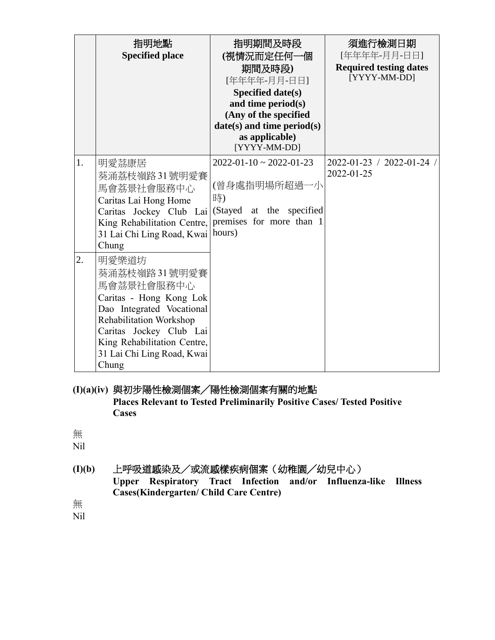|                  | 指明地點<br><b>Specified place</b>                                                                                                                                                                                          | 指明期間及時段<br>(視情況而定任何一個<br>期間及時段)<br>[年年年年-月月-日日]<br>Specified date(s)<br>and time period(s)<br>(Any of the specified<br>$date(s)$ and time period $(s)$<br>as applicable)<br>[YYYY-MM-DD] | 須進行檢測日期<br>[年年年年-月月-日日]<br><b>Required testing dates</b><br>[YYYY-MM-DD] |
|------------------|-------------------------------------------------------------------------------------------------------------------------------------------------------------------------------------------------------------------------|------------------------------------------------------------------------------------------------------------------------------------------------------------------------------------------|--------------------------------------------------------------------------|
| 1.               | 明愛茘康居<br>葵涌荔枝嶺路31號明愛賽<br>馬會荔景社會服務中心<br>Caritas Lai Hong Home<br>Caritas Jockey Club Lai<br>King Rehabilitation Centre,<br>31 Lai Chi Ling Road, Kwai   hours)<br>Chung                                                  | $2022 - 01 - 10 \approx 2022 - 01 - 23$<br>(曾身處指明場所超過一小<br>時)<br>(Stayed at the specified<br>premises for more than 1                                                                    | 2022-01-23 / 2022-01-24 /<br>2022-01-25                                  |
| $\overline{2}$ . | 明愛樂道坊<br>葵涌荔枝嶺路31號明愛賽<br>馬會茘景社會服務中心<br>Caritas - Hong Kong Lok<br>Dao Integrated Vocational<br>Rehabilitation Workshop<br>Caritas Jockey Club Lai<br>King Rehabilitation Centre,<br>31 Lai Chi Ling Road, Kwai<br>Chung |                                                                                                                                                                                          |                                                                          |

#### **(I)(a)(iv)** 與初步陽性檢測個案╱陽性檢測個案有關的地點 **Places Relevant to Tested Preliminarily Positive Cases/ Tested Positive Cases**

## 無

Nil

**(I)(b)** 上呼吸道感染及/或流感樣疾病個案(幼稚園╱幼兒中心) **Upper Respiratory Tract Infection and/or Influenza-like Illness Cases(Kindergarten/ Child Care Centre)**

無

Nil